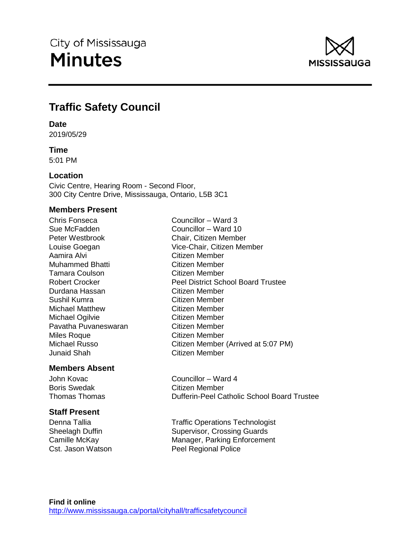

# **Traffic Safety Council**

# **Date**

2019/05/29

# **Time**

5:01 PM

# **Location**

Civic Centre, Hearing Room - Second Floor, 300 City Centre Drive, Mississauga, Ontario, L5B 3C1

# **Members Present**

Chris Fonseca Councillor – Ward 3 Sue McFadden Councillor – Ward 10 Peter Westbrook Chair, Citizen Member Aamira Alvi Citizen Member Muhammed Bhatti Citizen Member Tamara Coulson Citizen Member Durdana Hassan Citizen Member Sushil Kumra<br>
Michael Matthew **Citizen Member**<br>
Citizen Member Michael Matthew Michael Ogilvie Citizen Member Pavatha Puvaneswaran **Citizen Member** Miles Roque Citizen Member Junaid Shah Citizen Member

# **Members Absent**

Boris Swedak Citizen Member

# **Staff Present**

Louise Goegan Vice-Chair, Citizen Member Robert Crocker Peel District School Board Trustee Michael Russo Citizen Member (Arrived at 5:07 PM)

John Kovac **Councillor** – Ward 4 Thomas Thomas Dufferin-Peel Catholic School Board Trustee

Denna Tallia Traffic Operations Technologist Sheelagh Duffin Supervisor, Crossing Guards Camille McKay **Manager**, Parking Enforcement Cst. Jason Watson **Peel Regional Police**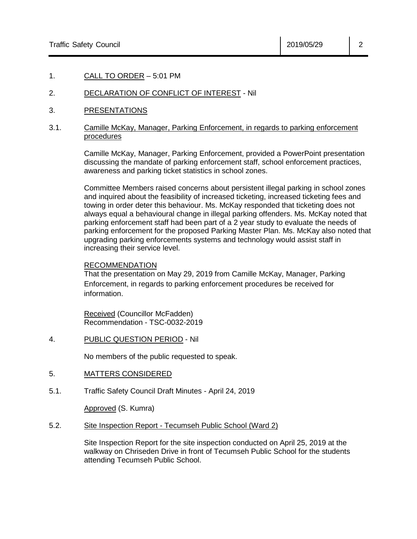## 1. CALL TO ORDER – 5:01 PM

# 2. DECLARATION OF CONFLICT OF INTEREST - Nil

3. PRESENTATIONS

## 3.1. Camille McKay, Manager, Parking Enforcement, in regards to parking enforcement procedures

Camille McKay, Manager, Parking Enforcement, provided a PowerPoint presentation discussing the mandate of parking enforcement staff, school enforcement practices, awareness and parking ticket statistics in school zones.

Committee Members raised concerns about persistent illegal parking in school zones and inquired about the feasibility of increased ticketing, increased ticketing fees and towing in order deter this behaviour. Ms. McKay responded that ticketing does not always equal a behavioural change in illegal parking offenders. Ms. McKay noted that parking enforcement staff had been part of a 2 year study to evaluate the needs of parking enforcement for the proposed Parking Master Plan. Ms. McKay also noted that upgrading parking enforcements systems and technology would assist staff in increasing their service level.

#### RECOMMENDATION

That the presentation on May 29, 2019 from Camille McKay, Manager, Parking Enforcement, in regards to parking enforcement procedures be received for information.

Received (Councillor McFadden) Recommendation - TSC-0032-2019

4. PUBLIC QUESTION PERIOD - Nil

No members of the public requested to speak.

# 5. MATTERS CONSIDERED

5.1. Traffic Safety Council Draft Minutes - April 24, 2019

Approved (S. Kumra)

5.2. Site Inspection Report - Tecumseh Public School (Ward 2)

Site Inspection Report for the site inspection conducted on April 25, 2019 at the walkway on Chriseden Drive in front of Tecumseh Public School for the students attending Tecumseh Public School.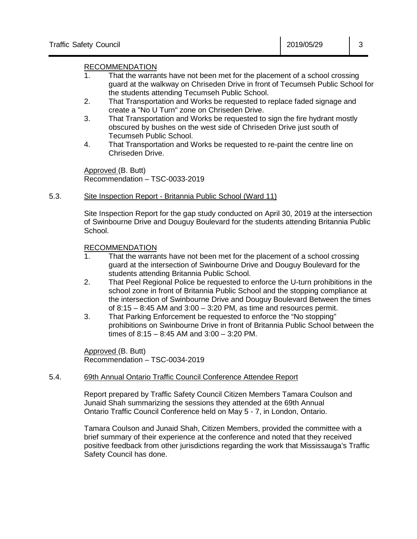# RECOMMENDATION

- 1. That the warrants have not been met for the placement of a school crossing guard at the walkway on Chriseden Drive in front of Tecumseh Public School for the students attending Tecumseh Public School.
- 2. That Transportation and Works be requested to replace faded signage and create a "No U Turn" zone on Chriseden Drive.
- 3. That Transportation and Works be requested to sign the fire hydrant mostly obscured by bushes on the west side of Chriseden Drive just south of Tecumseh Public School.
- 4. That Transportation and Works be requested to re-paint the centre line on Chriseden Drive.

Approved (B. Butt) Recommendation – TSC-0033-2019

# 5.3. Site Inspection Report - Britannia Public School (Ward 11)

Site Inspection Report for the gap study conducted on April 30, 2019 at the intersection of Swinbourne Drive and Douguy Boulevard for the students attending Britannia Public School.

# RECOMMENDATION

- 1. That the warrants have not been met for the placement of a school crossing guard at the intersection of Swinbourne Drive and Douguy Boulevard for the students attending Britannia Public School.
- 2. That Peel Regional Police be requested to enforce the U-turn prohibitions in the school zone in front of Britannia Public School and the stopping compliance at the intersection of Swinbourne Drive and Douguy Boulevard Between the times of  $8:15 - 8:45$  AM and  $3:00 - 3:20$  PM, as time and resources permit.
- 3. That Parking Enforcement be requested to enforce the "No stopping" prohibitions on Swinbourne Drive in front of Britannia Public School between the times of 8:15 – 8:45 AM and 3:00 – 3:20 PM.

Approved (B. Butt) Recommendation – TSC-0034-2019

# 5.4. 69th Annual Ontario Traffic Council Conference Attendee Report

Report prepared by Traffic Safety Council Citizen Members Tamara Coulson and Junaid Shah summarizing the sessions they attended at the 69th Annual Ontario Traffic Council Conference held on May 5 - 7, in London, Ontario.

Tamara Coulson and Junaid Shah, Citizen Members, provided the committee with a brief summary of their experience at the conference and noted that they received positive feedback from other jurisdictions regarding the work that Mississauga's Traffic Safety Council has done.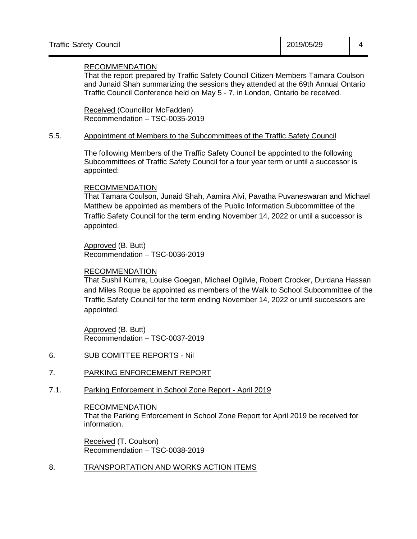# RECOMMENDATION

That the report prepared by Traffic Safety Council Citizen Members Tamara Coulson and Junaid Shah summarizing the sessions they attended at the 69th Annual Ontario Traffic Council Conference held on May 5 - 7, in London, Ontario be received.

Received (Councillor McFadden) Recommendation – TSC-0035-2019

#### 5.5. Appointment of Members to the Subcommittees of the Traffic Safety Council

The following Members of the Traffic Safety Council be appointed to the following Subcommittees of Traffic Safety Council for a four year term or until a successor is appointed:

#### RECOMMENDATION

That Tamara Coulson, Junaid Shah, Aamira Alvi, Pavatha Puvaneswaran and Michael Matthew be appointed as members of the Public Information Subcommittee of the Traffic Safety Council for the term ending November 14, 2022 or until a successor is appointed.

Approved (B. Butt) Recommendation – TSC-0036-2019

#### RECOMMENDATION

That Sushil Kumra, Louise Goegan, Michael Ogilvie, Robert Crocker, Durdana Hassan and Miles Roque be appointed as members of the Walk to School Subcommittee of the Traffic Safety Council for the term ending November 14, 2022 or until successors are appointed.

Approved (B. Butt) Recommendation – TSC-0037-2019

- 6. SUB COMITTEE REPORTS Nil
- 7. PARKING ENFORCEMENT REPORT
- 7.1. Parking Enforcement in School Zone Report April 2019

## RECOMMENDATION

That the Parking Enforcement in School Zone Report for April 2019 be received for information.

Received (T. Coulson) Recommendation – TSC-0038-2019

8. TRANSPORTATION AND WORKS ACTION ITEMS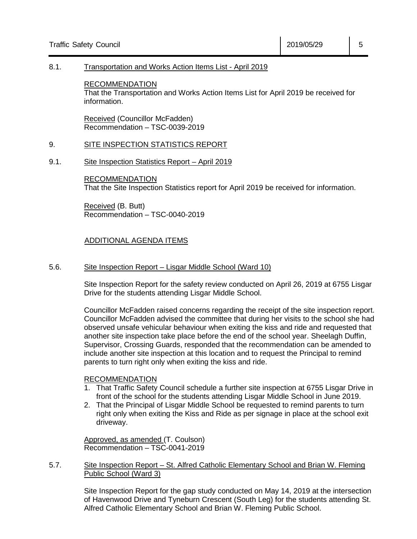#### 8.1. Transportation and Works Action Items List - April 2019

RECOMMENDATION That the Transportation and Works Action Items List for April 2019 be received for information.

Received (Councillor McFadden) Recommendation – TSC-0039-2019

#### 9. SITE INSPECTION STATISTICS REPORT

9.1. Site Inspection Statistics Report – April 2019

RECOMMENDATION That the Site Inspection Statistics report for April 2019 be received for information.

Received (B. Butt) Recommendation – TSC-0040-2019

# ADDITIONAL AGENDA ITEMS

#### 5.6. Site Inspection Report – Lisgar Middle School (Ward 10)

Site Inspection Report for the safety review conducted on April 26, 2019 at 6755 Lisgar Drive for the students attending Lisgar Middle School.

Councillor McFadden raised concerns regarding the receipt of the site inspection report. Councillor McFadden advised the committee that during her visits to the school she had observed unsafe vehicular behaviour when exiting the kiss and ride and requested that another site inspection take place before the end of the school year. Sheelagh Duffin, Supervisor, Crossing Guards, responded that the recommendation can be amended to include another site inspection at this location and to request the Principal to remind parents to turn right only when exiting the kiss and ride.

#### RECOMMENDATION

- 1. That Traffic Safety Council schedule a further site inspection at 6755 Lisgar Drive in front of the school for the students attending Lisgar Middle School in June 2019.
- 2. That the Principal of Lisgar Middle School be requested to remind parents to turn right only when exiting the Kiss and Ride as per signage in place at the school exit driveway.

Approved, as amended (T. Coulson) Recommendation – TSC-0041-2019

## 5.7. Site Inspection Report – St. Alfred Catholic Elementary School and Brian W. Fleming Public School (Ward 3)

Site Inspection Report for the gap study conducted on May 14, 2019 at the intersection of Havenwood Drive and Tyneburn Crescent (South Leg) for the students attending St. Alfred Catholic Elementary School and Brian W. Fleming Public School.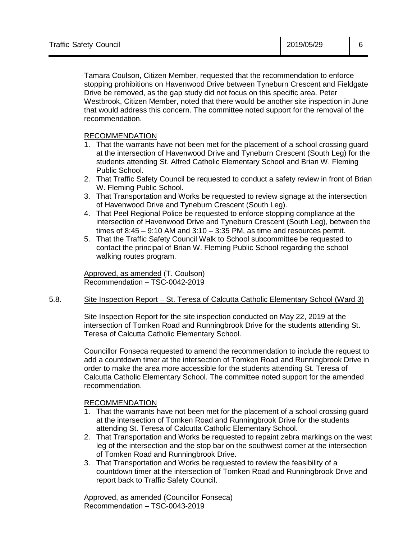Tamara Coulson, Citizen Member, requested that the recommendation to enforce stopping prohibitions on Havenwood Drive between Tyneburn Crescent and Fieldgate Drive be removed, as the gap study did not focus on this specific area. Peter Westbrook, Citizen Member, noted that there would be another site inspection in June that would address this concern. The committee noted support for the removal of the recommendation.

# RECOMMENDATION

- 1. That the warrants have not been met for the placement of a school crossing guard at the intersection of Havenwood Drive and Tyneburn Crescent (South Leg) for the students attending St. Alfred Catholic Elementary School and Brian W. Fleming Public School.
- 2. That Traffic Safety Council be requested to conduct a safety review in front of Brian W. Fleming Public School.
- 3. That Transportation and Works be requested to review signage at the intersection of Havenwood Drive and Tyneburn Crescent (South Leg).
- 4. That Peel Regional Police be requested to enforce stopping compliance at the intersection of Havenwood Drive and Tyneburn Crescent (South Leg), between the times of  $8:45 - 9:10$  AM and  $3:10 - 3:35$  PM, as time and resources permit.
- 5. That the Traffic Safety Council Walk to School subcommittee be requested to contact the principal of Brian W. Fleming Public School regarding the school walking routes program.

Approved, as amended (T. Coulson) Recommendation – TSC-0042-2019

# 5.8. Site Inspection Report – St. Teresa of Calcutta Catholic Elementary School (Ward 3)

Site Inspection Report for the site inspection conducted on May 22, 2019 at the intersection of Tomken Road and Runningbrook Drive for the students attending St. Teresa of Calcutta Catholic Elementary School.

Councillor Fonseca requested to amend the recommendation to include the request to add a countdown timer at the intersection of Tomken Road and Runningbrook Drive in order to make the area more accessible for the students attending St. Teresa of Calcutta Catholic Elementary School. The committee noted support for the amended recommendation.

# RECOMMENDATION

- 1. That the warrants have not been met for the placement of a school crossing guard at the intersection of Tomken Road and Runningbrook Drive for the students attending St. Teresa of Calcutta Catholic Elementary School.
- 2. That Transportation and Works be requested to repaint zebra markings on the west leg of the intersection and the stop bar on the southwest corner at the intersection of Tomken Road and Runningbrook Drive.
- 3. That Transportation and Works be requested to review the feasibility of a countdown timer at the intersection of Tomken Road and Runningbrook Drive and report back to Traffic Safety Council.

Approved, as amended (Councillor Fonseca) Recommendation – TSC-0043-2019